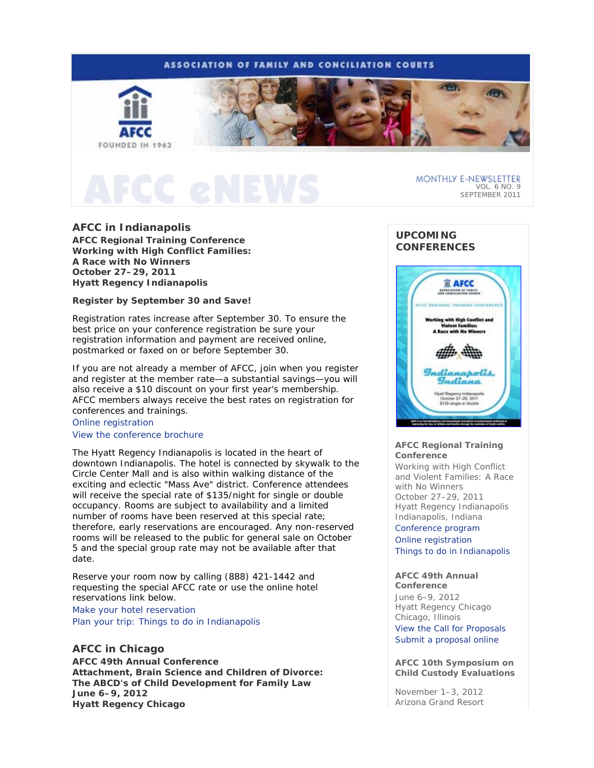# **ASSOCIATION OF FAMILY AND CONCILIATION COURTS**



MONTHLY E-NEWSLETTER VOL. 6 NO. 9 SEPTEMBER 2011

# **AFCC in Indianapolis**

**AFCC Regional Training Conference**  *Working with High Conflict Families: A Race with No Winners* **October 27–29, 2011 Hyatt Regency Indianapolis** 

# **Register by September 30 and Save!**

Registration rates increase after September 30. To ensure the best price on your conference registration be sure your registration information and payment are received online, postmarked or faxed on or before September 30.

If you are not already a member of AFCC, join when you register and register at the member rate—a substantial savings—you will also receive a \$10 discount on your first year's membership. AFCC members always receive the best rates on registration for conferences and trainings.

# Online registration View the conference brochure

The Hyatt Regency Indianapolis is located in the heart of downtown Indianapolis. The hotel is connected by skywalk to the Circle Center Mall and is also within walking distance of the exciting and eclectic "Mass Ave" district. Conference attendees will receive the special rate of \$135/night for single or double occupancy. Rooms are subject to availability and a limited number of rooms have been reserved at this special rate; therefore, early reservations are encouraged. Any non-reserved rooms will be released to the public for general sale on October 5 and the special group rate may not be available after that date.

Reserve your room now by calling (888) 421-1442 and requesting the special AFCC rate or use the online hotel reservations link below.

Make your hotel reservation Plan your trip: Things to do in Indianapolis

# **AFCC in Chicago**

**AFCC 49th Annual Conference**  *Attachment, Brain Science and Children of Divorce: The ABCD's of Child Development for Family Law* **June 6–9, 2012 Hyatt Regency Chicago** 

# **UPCOMING CONFERENCES**



## **AFCC Regional Training Conference**

*Working with High Conflict and Violent Families: A Race with No Winners*  October 27–29, 2011 Hyatt Regency Indianapolis Indianapolis, Indiana

Conference program Online registration Things to do in Indianapolis

# **AFCC 49th Annual**

**Conference** June 6–9, 2012 Hyatt Regency Chicago Chicago, Illinois View the Call for Proposals Submit a proposal online

## **AFCC 10th Symposium on Child Custody Evaluations**

November 1–3, 2012 Arizona Grand Resort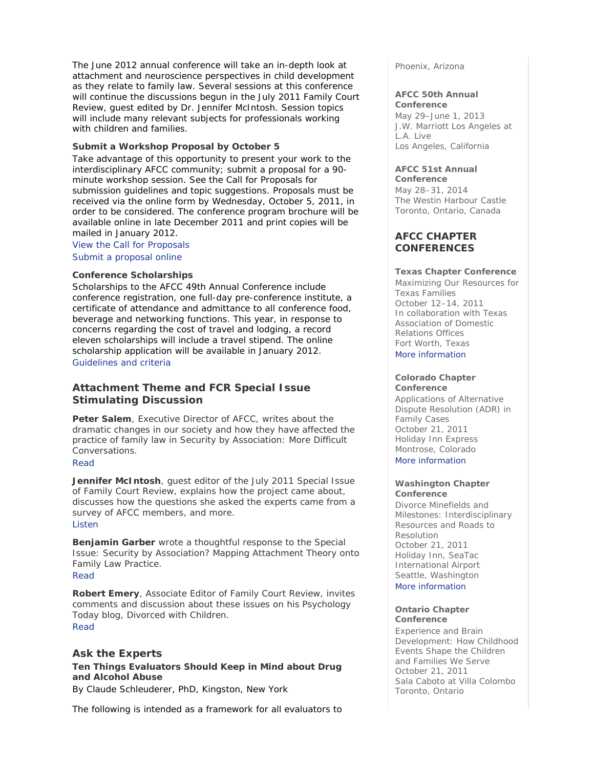The June 2012 annual conference will take an in-depth look at attachment and neuroscience perspectives in child development as they relate to family law. Several sessions at this conference will continue the discussions begun in the July 2011 Family Court Review, guest edited by Dr. Jennifer McIntosh. Session topics will include many relevant subjects for professionals working with children and families.

# **Submit a Workshop Proposal by October 5**

Take advantage of this opportunity to present your work to the interdisciplinary AFCC community; submit a proposal for a 90 minute workshop session. See the Call for Proposals for submission guidelines and topic suggestions. Proposals must be received via the online form by Wednesday, October 5, 2011, in order to be considered. The conference program brochure will be available online in late December 2011 and print copies will be mailed in January 2012.

View the Call for Proposals

Submit a proposal online

## **Conference Scholarships**

Scholarships to the AFCC 49th Annual Conference include conference registration, one full-day pre-conference institute, a certificate of attendance and admittance to all conference food, beverage and networking functions. This year, in response to concerns regarding the cost of travel and lodging, a record eleven scholarships will include a travel stipend. The online scholarship application will be available in January 2012. Guidelines and criteria

# **Attachment Theme and** *FCR* **Special Issue Stimulating Discussion**

**Peter Salem**, Executive Director of AFCC, writes about the dramatic changes in our society and how they have affected the practice of family law in *Security by Association: More Difficult Conversations.*

# Read

**Jennifer McIntosh**, guest editor of the July 2011 Special Issue of *Family Court Review*, explains how the project came about, discusses how the questions she asked the experts came from a survey of AFCC members, and more.

### Listen

**Benjamin Garber** wrote a thoughtful response to the Special Issue: *Security by Association? Mapping Attachment Theory onto Family Law Practice*. Read

**Robert Emery**, Associate Editor of *Family Court Review*, invites comments and discussion about these issues on his *Psychology Today* blog, *Divorced with Children*. Read

# **Ask the Experts**

**Ten Things Evaluators Should Keep in Mind about Drug and Alcohol Abuse**  *By Claude Schleuderer, PhD, Kingston, New York* 

The following is intended as a framework for all evaluators to

Phoenix, Arizona

#### **AFCC 50th Annual Conference**

May 29–June 1, 2013 J.W. Marriott Los Angeles at L.A. Live Los Angeles, California

# **AFCC 51st Annual**

**Conference** May 28–31, 2014 The Westin Harbour Castle Toronto, Ontario, Canada

# **AFCC CHAPTER CONFERENCES**

# **Texas Chapter Conference**

*Maximizing Our Resources for Texas Families* October 12–14, 2011 In collaboration with Texas Association of Domestic Relations Offices Fort Worth, Texas More information

## **Colorado Chapter Conference**

*Applications of Alternative Dispute Resolution (ADR) in Family Cases* October 21, 2011 Holiday Inn Express Montrose, Colorado More information

## **Washington Chapter Conference**

*Divorce Minefields and Milestones: Interdisciplinary Resources and Roads to Resolution* October 21, 2011 Holiday Inn, SeaTac International Airport Seattle, Washington More information

## **Ontario Chapter Conference**

*Experience and Brain Development: How Childhood Events Shape the Children and Families We Serve*  October 21, 2011 Sala Caboto at Villa Colombo Toronto, Ontario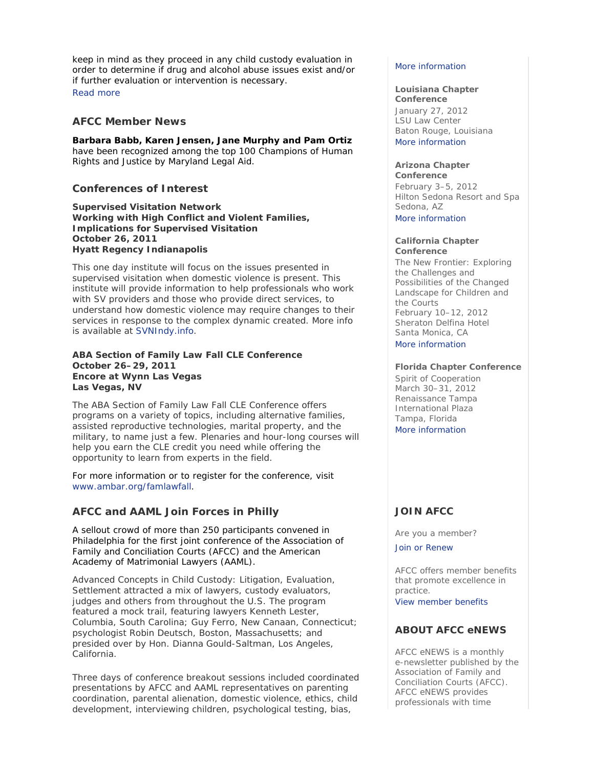keep in mind as they proceed in any child custody evaluation in order to determine if drug and alcohol abuse issues exist and/or if further evaluation or intervention is necessary. Read more

# **AFCC Member News**

**Barbara Babb, Karen Jensen, Jane Murphy and Pam Ortiz** have been recognized among the top *100 Champions of Human Rights and Justice* by Maryland Legal Aid.

# **Conferences of Interest**

**Supervised Visitation Network**  *Working with High Conflict and Violent Families, Implications for Supervised Visitation* **October 26, 2011 Hyatt Regency Indianapolis** 

This one day institute will focus on the issues presented in supervised visitation when domestic violence is present. This institute will provide information to help professionals who work with SV providers and those who provide direct services, to understand how domestic violence may require changes to their services in response to the complex dynamic created. More info is available at SVNIndy.info.

# **ABA Section of Family Law Fall CLE Conference October 26–29, 2011 Encore at Wynn Las Vegas Las Vegas, NV**

The ABA Section of Family Law Fall CLE Conference offers programs on a variety of topics, including alternative families, assisted reproductive technologies, marital property, and the military, to name just a few. Plenaries and hour-long courses will help you earn the CLE credit you need while offering the opportunity to learn from experts in the field.

For more information or to register for the conference, visit www.ambar.org/famlawfall.

# **AFCC and AAML Join Forces in Philly**

A sellout crowd of more than 250 participants convened in Philadelphia for the first joint conference of the Association of Family and Conciliation Courts (AFCC) and the American Academy of Matrimonial Lawyers (AAML).

*Advanced Concepts in Child Custody: Litigation, Evaluation, Settlement* attracted a mix of lawyers, custody evaluators, judges and others from throughout the U.S. The program featured a mock trail, featuring lawyers Kenneth Lester, Columbia, South Carolina; Guy Ferro, New Canaan, Connecticut; psychologist Robin Deutsch, Boston, Massachusetts; and presided over by Hon. Dianna Gould-Saltman, Los Angeles, California.

Three days of conference breakout sessions included coordinated presentations by AFCC and AAML representatives on parenting coordination, parental alienation, domestic violence, ethics, child development, interviewing children, psychological testing, bias,

## More information

# **Louisiana Chapter**

**Conference** January 27, 2012 LSU Law Center Baton Rouge, Louisiana More information

#### **Arizona Chapter Conference**

February 3–5, 2012 Hilton Sedona Resort and Spa Sedona, AZ

More information

#### **California Chapter Conference**

*The New Frontier: Exploring the Challenges and Possibilities of the Changed Landscape for Children and the Courts* February 10–12, 2012 Sheraton Delfina Hotel Santa Monica, CA More information

# **Florida Chapter Conference**

*Spirit of Cooperation* March 30–31, 2012 Renaissance Tampa International Plaza Tampa, Florida More information

# **JOIN AFCC**

Are you a member?

Join or Renew

AFCC offers member benefits that promote excellence in practice.

View member benefits

# **ABOUT AFCC eNEWS**

*AFCC eNEWS* is a monthly e-newsletter published by the Association of Family and Conciliation Courts (AFCC). *AFCC eNEWS* provides professionals with time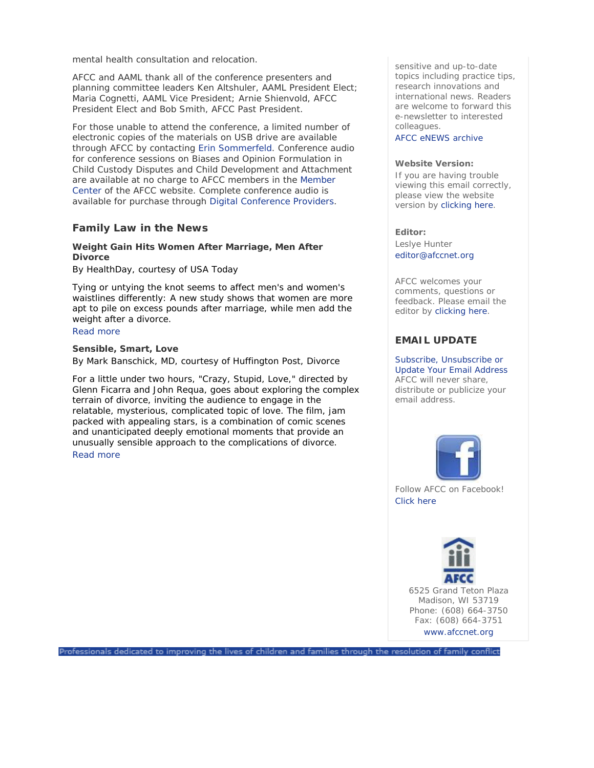mental health consultation and relocation.

AFCC and AAML thank all of the conference presenters and planning committee leaders Ken Altshuler, AAML President Elect; Maria Cognetti, AAML Vice President; Arnie Shienvold, AFCC President Elect and Bob Smith, AFCC Past President.

For those unable to attend the conference, a limited number of electronic copies of the materials on USB drive are available through AFCC by contacting Erin Sommerfeld. Conference audio for conference sessions on *Biases and Opinion Formulation in Child Custody Disputes* and *Child Development and Attachment* are available at no charge to AFCC members in the Member Center of the AFCC website. Complete conference audio is available for purchase through Digital Conference Providers.

# **Family Law in the News**

# **Weight Gain Hits Women After Marriage, Men After Divorce**

## *By HealthDay, courtesy of USA Today*

Tying or untying the knot seems to affect men's and women's waistlines differently: A new study shows that women are more apt to pile on excess pounds after marriage, while men add the weight after a divorce.

# Read more

# **Sensible, Smart, Love**  *By Mark Banschick, MD, courtesy of Huffington Post, Divorce*

For a little under two hours, "Crazy, Stupid, Love," directed by Glenn Ficarra and John Requa, goes about exploring the complex terrain of divorce, inviting the audience to engage in the relatable, mysterious, complicated topic of love. The film, jam packed with appealing stars, is a combination of comic scenes and unanticipated deeply emotional moments that provide an unusually sensible approach to the complications of divorce.

# Read more

sensitive and up-to-date topics including practice tips, research innovations and international news. Readers are welcome to forward this e-newsletter to interested colleagues.

AFCC eNEWS archive

### **Website Version:**

If you are having trouble viewing this email correctly, please view the website version by clicking here.

## **Editor:**

Leslye Hunter editor@afccnet.org

AFCC welcomes your comments, questions or feedback. Please email the editor by clicking here.

# **EMAIL UPDATE**

Subscribe, Unsubscribe or Update Your Email Address AFCC will never share, distribute or publicize your email address.



Follow AFCC on Facebook! Click here



6525 Grand Teton Plaza Madison, WI 53719 Phone: (608) 664-3750 Fax: (608) 664-3751 www.afccnet.org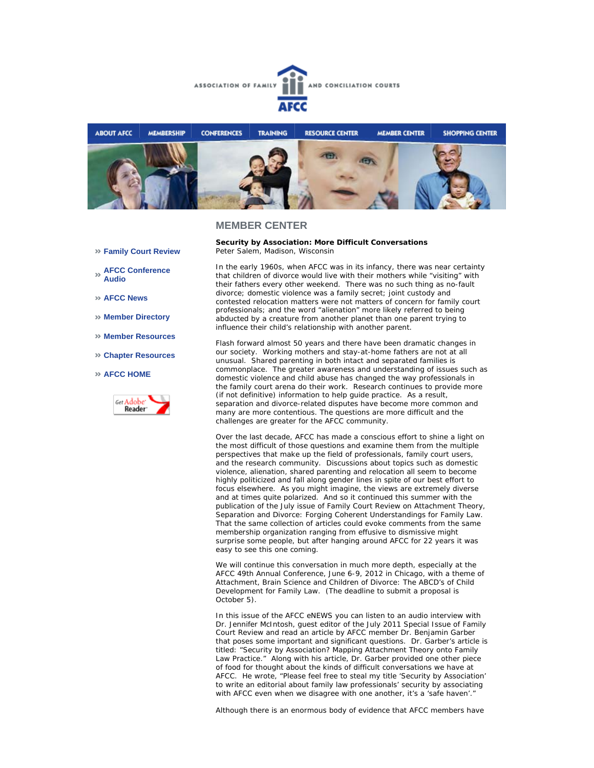



## **MEMBER CENTER**

- **Family Court Review**
- **AFCC Conference Audio**
- **AFCC News**
- **Member Directory**
- **Member Resources**
- **Chapter Resources**

### **AFCC HOME**



**Security by Association: More Difficult Conversations**  *Peter Salem, Madison, Wisconsin*

In the early 1960s, when AFCC was in its infancy, there was near certainty that children of divorce would live with their mothers while "visiting" with their fathers every other weekend. There was no such thing as no-fault divorce; domestic violence was a family secret; joint custody and contested relocation matters were not matters of concern for family court professionals; and the word "alienation" more likely referred to being abducted by a creature from another planet than one parent trying to influence their child's relationship with another parent.

Flash forward almost 50 years and there have been dramatic changes in our society. Working mothers and stay-at-home fathers are not at all unusual. Shared parenting in both intact and separated families is commonplace. The greater awareness and understanding of issues such as domestic violence and child abuse has changed the way professionals in the family court arena do their work. Research continues to provide more (if not definitive) information to help guide practice. As a result, separation and divorce-related disputes have become more common and many are more contentious. The questions are more difficult and the challenges are greater for the AFCC community.

Over the last decade, AFCC has made a conscious effort to shine a light on the most difficult of those questions and examine them from the multiple perspectives that make up the field of professionals, family court users, and the research community. Discussions about topics such as domestic violence, alienation, shared parenting and relocation all seem to become highly politicized and fall along gender lines in spite of our best effort to focus elsewhere. As you might imagine, the views are extremely diverse and at times quite polarized. And so it continued this summer with the publication of the July issue of *Family Court Review* on Attachment Theory, Separation and Divorce: Forging Coherent Understandings for Family Law. That the same collection of articles could evoke comments from the same membership organization ranging from effusive to dismissive might surprise some people, but after hanging around AFCC for 22 years it was easy to see this one coming.

We will continue this conversation in much more depth, especially at the AFCC 49th Annual Conference, June 6-9, 2012 in Chicago, with a theme of *Attachment, Brain Science and Children of Divorce: The ABCD's of Child Development for Family Law.* (The deadline to submit a proposal is October 5).

In this issue of the *AFCC eNEWS* you can listen to an audio interview with Dr. Jennifer McIntosh, guest editor of the July 2011 Special Issue of *Family Court Review* and read an article by AFCC member Dr. Benjamin Garber that poses some important and significant questions. Dr. Garber's article is titled: "Security by Association? Mapping Attachment Theory onto Family Law Practice." Along with his article, Dr. Garber provided one other piece of food for thought about the kinds of difficult conversations we have at AFCC. He wrote, "Please feel free to steal my title 'Security by Association' to write an editorial about family law professionals' security by associating with AFCC even when we disagree with one another, it's a 'safe haven'."

Although there is an enormous body of evidence that AFCC members have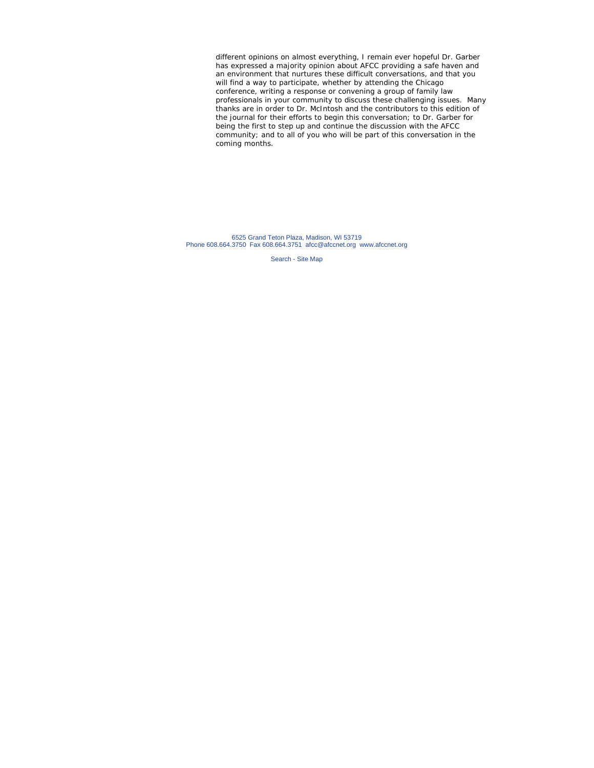different opinions on almost everything, I remain ever hopeful Dr. Garber has expressed a majority opinion about AFCC providing a safe haven and an environment that nurtures these difficult conversations, and that you will find a way to participate, whether by attending the Chicago conference, writing a response or convening a group of family law professionals in your community to discuss these challenging issues. Many thanks are in order to Dr. McIntosh and the contributors to this edition of the journal for their efforts to begin this conversation; to Dr. Garber for being the first to step up and continue the discussion with the AFCC community; and to all of you who will be part of this conversation in the coming months.

6525 Grand Teton Plaza, Madison, WI 53719 Phone 608.664.3750 Fax 608.664.3751 afcc@afccnet.org www.afccnet.org

Search - Site Map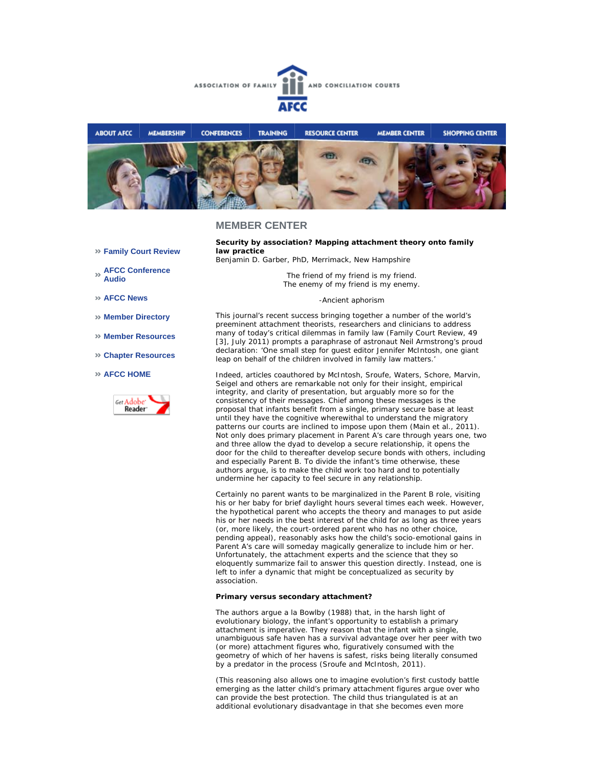



# **MEMBER CENTER**

**Family Court Review** 

**AFCC Conference Audio** 

**AFCC News** 

- **Member Directory**
- **Member Resources**
- **Chapter Resources**

#### **AFCC HOME**



**Security by association? Mapping attachment theory onto family law practice** 

*Benjamin D. Garber, PhD, Merrimack, New Hampshire* 

*The friend of my friend is my friend. The enemy of my friend is my enemy.*

#### -Ancient aphorism

This journal's recent success bringing together a number of the world's preeminent attachment theorists, researchers and clinicians to address many of today's critical dilemmas in family law (*Family Court Review*, 49 [3], July 2011) prompts a paraphrase of astronaut Neil Armstrong's proud declaration: 'One small step for guest editor Jennifer McIntosh, one giant leap on behalf of the children involved in family law matters.'

Indeed, articles coauthored by McIntosh, Sroufe, Waters, Schore, Marvin, Seigel and others are remarkable not only for their insight, empirical integrity, and clarity of presentation, but arguably more so for the consistency of their messages. Chief among these messages is the proposal that infants benefit from a single, primary secure base at least until they have the cognitive wherewithal to understand the migratory patterns our courts are inclined to impose upon them (Main et al., 2011). Not only does primary placement in Parent A's care through years one, two and three allow the dyad to develop a secure relationship, it opens the door for the child to thereafter develop secure bonds with others, including and especially Parent B. To divide the infant's time otherwise, these authors argue, is to make the child work too hard and to potentially undermine her capacity to feel secure in any relationship.

Certainly no parent wants to be marginalized in the Parent B role, visiting his or her baby for brief daylight hours several times each week. However, the hypothetical parent who accepts the theory and manages to put aside his or her needs in the best interest of the child for as long as three years (or, more likely, the court-ordered parent who has no other choice, pending appeal), reasonably asks how the child's socio-emotional gains in Parent A's care will someday magically generalize to include him or her. Unfortunately, the attachment experts and the science that they so eloquently summarize fail to answer this question directly. Instead, one is left to infer a dynamic that might be conceptualized as *security by association*.

#### **Primary versus secondary attachment?**

The authors argue a la Bowlby (1988) that, in the harsh light of evolutionary biology, the infant's opportunity to establish a primary attachment is imperative. They reason that the infant with a single, unambiguous safe haven has a survival advantage over her peer with two (or more) attachment figures who, figuratively consumed with the geometry of which of her havens is safest, risks being literally consumed by a predator in the process (Sroufe and McIntosh, 2011).

(This reasoning also allows one to imagine evolution's first custody battle emerging as the latter child's primary attachment figures argue over who can provide the best protection. The child thus triangulated is at an additional evolutionary disadvantage in that she becomes even more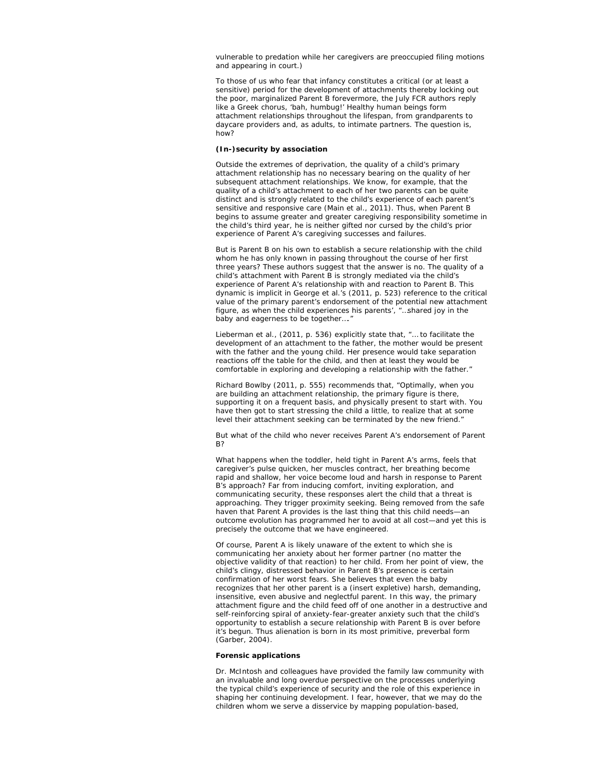vulnerable to predation while her caregivers are preoccupied filing motions and appearing in court.)

To those of us who fear that infancy constitutes a critical (or at least a sensitive) period for the development of attachments thereby locking out the poor, marginalized Parent B forevermore, the July *FCR* authors reply like a Greek chorus, 'bah, humbug!' Healthy human beings form attachment relationships throughout the lifespan, from grandparents to daycare providers and, as adults, to intimate partners. The question is, how?

## **(In-)security by association**

Outside the extremes of deprivation, the quality of a child's primary attachment relationship has no necessary bearing on the quality of her subsequent attachment relationships. We know, for example, that the quality of a child's attachment to each of her two parents can be quite distinct and is strongly related to the child's experience of each parent's sensitive and responsive care (Main et al., 2011). Thus, when Parent B begins to assume greater and greater caregiving responsibility sometime in the child's third year, he is neither gifted nor cursed by the child's prior experience of Parent A's caregiving successes and failures.

But is Parent B on his own to establish a secure relationship with the child whom he has only known in passing throughout the course of her first three years? These authors suggest that the answer is no. The quality of a child's attachment with Parent B is strongly mediated via the child's experience of Parent A's relationship with and reaction to Parent B. This dynamic is implicit in George et al.'s (2011, p. 523) reference to the critical value of the primary parent's endorsement of the potential new attachment figure, as when the child experiences his parents', "…shared joy in the baby and eagerness to be together…."

Lieberman et al., (2011, p. 536) explicitly state that, "… to facilitate the development of an attachment to the father, the mother would be present with the father and the young child. Her presence would take separation reactions off the table for the child, and then at least they would be comfortable in exploring and developing a relationship with the father.'

Richard Bowlby (2011, p. 555) recommends that, "Optimally, when you are building an attachment relationship, the primary figure is there, supporting it on a frequent basis, and physically present to start with. You have then got to start stressing the child a little, to realize that at some level their attachment seeking can be terminated by the new friend."

But what of the child who never receives Parent A's endorsement of Parent B?

What happens when the toddler, held tight in Parent A's arms, feels that caregiver's pulse quicken, her muscles contract, her breathing become rapid and shallow, her voice become loud and harsh in response to Parent B's approach? Far from inducing comfort, inviting exploration, and communicating security, these responses alert the child that a threat is approaching. They trigger proximity seeking. Being removed from the safe haven that Parent A provides is the last thing that this child needs—an outcome evolution has programmed her to avoid at all cost—and yet this is precisely the outcome that we have engineered.

Of course, Parent A is likely unaware of the extent to which she is communicating her anxiety about her former partner (no matter the objective validity of that reaction) to her child. From her point of view, the child's clingy, distressed behavior in Parent B's presence is certain confirmation of her worst fears. She believes that even the baby recognizes that her other parent is a (insert expletive) harsh, demanding, insensitive, even abusive and neglectful parent. In this way, the primary attachment figure and the child feed off of one another in a destructive and self-reinforcing spiral of anxiety-fear-greater anxiety such that the child's opportunity to establish a secure relationship with Parent B is over before it's begun. Thus alienation is born in its most primitive, preverbal form (Garber, 2004).

#### **Forensic applications**

Dr. McIntosh and colleagues have provided the family law community with an invaluable and long overdue perspective on the processes underlying the typical child's experience of security and the role of this experience in shaping her continuing development. I fear, however, that we may do the children whom we serve a disservice by mapping population-based,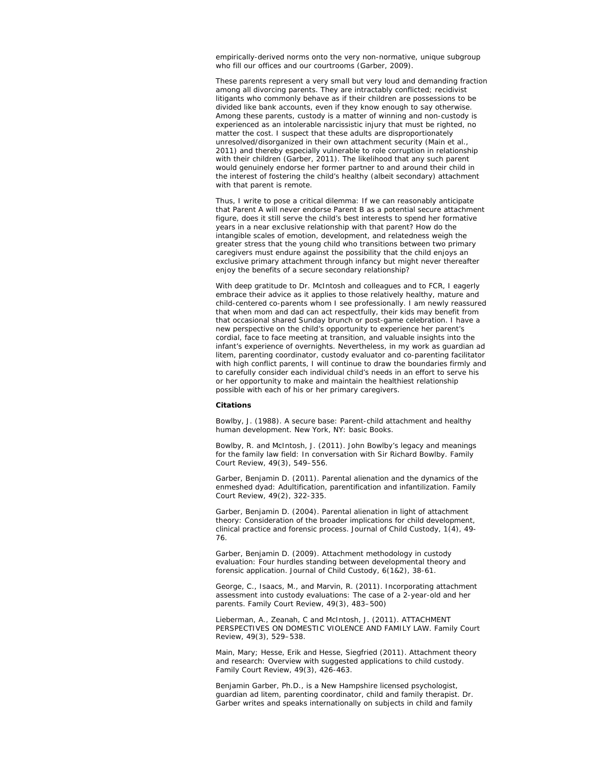empirically-derived norms onto the very non-normative, unique subgroup who fill our offices and our courtrooms (Garber, 2009).

These parents represent a very small but very loud and demanding fraction among all divorcing parents. They are intractably conflicted; recidivist litigants who commonly behave as if their children are possessions to be divided like bank accounts, even if they know enough to say otherwise. Among these parents, custody is a matter of winning and non-custody is experienced as an intolerable narcissistic injury that must be righted, no matter the cost. I suspect that these adults are disproportionately unresolved/disorganized in their own attachment security (Main et al., 2011) and thereby especially vulnerable to role corruption in relationship with their children (Garber, 2011). The likelihood that any such parent would genuinely endorse her former partner to and around their child in the interest of fostering the child's healthy (albeit secondary) attachment with that parent is remote.

Thus, I write to pose a critical dilemma: If we can reasonably anticipate that Parent A will never endorse Parent B as a potential secure attachment figure, does it still serve the child's best interests to spend her formative years in a near exclusive relationship with that parent? How do the intangible scales of emotion, development, and relatedness weigh the greater stress that the young child who transitions between two primary caregivers must endure against the possibility that the child enjoys an exclusive primary attachment through infancy but might never thereafter enjoy the benefits of a secure secondary relationship?

With deep gratitude to Dr. McIntosh and colleagues and to *FCR*, I eagerly embrace their advice as it applies to those relatively healthy, mature and child-centered co-parents whom I see professionally. I am newly reassured that when mom and dad can act respectfully, their kids may benefit from that occasional shared Sunday brunch or post-game celebration. I have a new perspective on the child's opportunity to experience her parent's cordial, face to face meeting at transition, and valuable insights into the infant's experience of overnights. Nevertheless, in my work as guardian ad litem, parenting coordinator, custody evaluator and co-parenting facilitator with high conflict parents, I will continue to draw the boundaries firmly and to carefully consider each individual child's needs in an effort to serve his or her opportunity to make and maintain the healthiest relationship possible with each of his or her primary caregivers.

#### **Citations**

Bowlby, J. (1988). A secure base: *Parent-child attachment and healthy human development*. New York, NY: basic Books.

Bowlby, R. and McIntosh, J. (2011). John Bowlby's legacy and meanings for the family law field: In conversation with Sir Richard Bowlby. *Family Court Review*, 49(3), 549–556.

Garber, Benjamin D. (2011). Parental alienation and the dynamics of the enmeshed dyad: Adultification, parentification and infantilization. *Family Court Review*, 49(2), 322-335.

Garber, Benjamin D. (2004). Parental alienation in light of attachment theory: Consideration of the broader implications for child development, clinical practice and forensic process. *Journal of Child Custody*, 1(4), 49- 76.

Garber, Benjamin D. (2009). Attachment methodology in custody evaluation: Four hurdles standing between developmental theory and forensic application. *Journal of Child Custody*, 6(1&2), 38-61.

George, C., Isaacs, M., and Marvin, R. (2011). Incorporating attachment assessment into custody evaluations: The case of a 2-year-old and her parents. *Family Court Review*, 49(3), 483–500)

Lieberman, A., Zeanah, C and McIntosh, J. (2011). ATTACHMENT PERSPECTIVES ON DOMESTIC VIOLENCE AND FAMILY LAW. *Family Court Review*, 49(3), 529–538.

Main, Mary; Hesse, Erik and Hesse, Siegfried (2011). Attachment theory and research: Overview with suggested applications to child custody. *Family Court Review*, 49(3), 426-463.

*Benjamin Garber, Ph.D., is a New Hampshire licensed psychologist, guardian ad litem, parenting coordinator, child and family therapist. Dr. Garber writes and speaks internationally on subjects in child and family*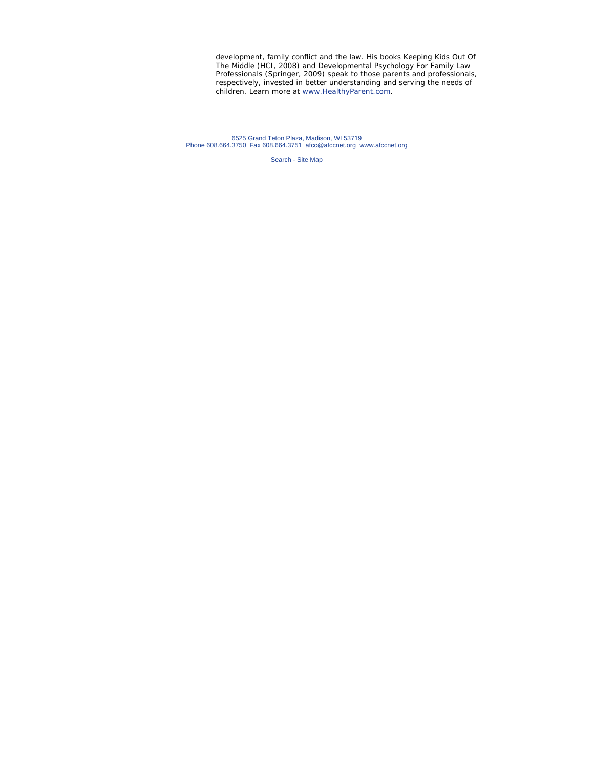*development, family conflict and the law. His books* Keeping Kids Out Of The Middle *(HCI, 2008) and* Developmental Psychology For Family Law Professionals *(Springer, 2009) speak to those parents and professionals, respectively, invested in better understanding and serving the needs of children. Learn more at www.HealthyParent.com.* 

6525 Grand Teton Plaza, Madison, WI 53719 Phone 608.664.3750 Fax 608.664.3751 afcc@afccnet.org www.afccnet.org

Search - Site Map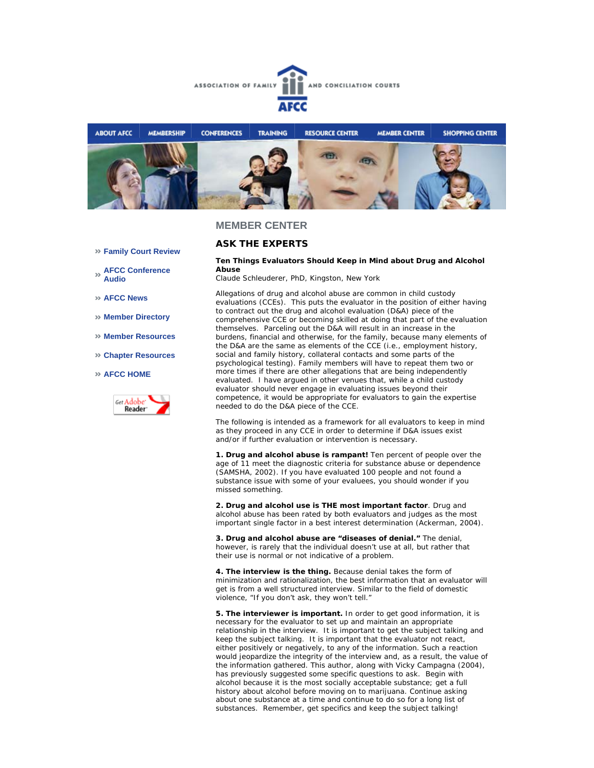



## **MEMBER CENTER**

## **ASK THE EXPERTS**

#### **Ten Things Evaluators Should Keep in Mind about Drug and Alcohol Abuse**

*Claude Schleuderer, PhD, Kingston, New York* 

Allegations of drug and alcohol abuse are common in child custody evaluations (CCEs). This puts the evaluator in the position of either having to contract out the drug and alcohol evaluation (D&A) piece of the comprehensive CCE or becoming skilled at doing that part of the evaluation themselves. Parceling out the D&A will result in an increase in the burdens, financial and otherwise, for the family, because many elements of the D&A are the same as elements of the CCE (i.e., employment history, social and family history, collateral contacts and some parts of the psychological testing). Family members will have to repeat them two or more times if there are other allegations that are being independently evaluated. I have argued in other venues that, while a child custody evaluator should never engage in evaluating issues beyond their competence, it would be appropriate for evaluators to gain the expertise needed to do the D&A piece of the CCE.

The following is intended as a framework for all evaluators to keep in mind as they proceed in any CCE in order to determine if D&A issues exist and/or if further evaluation or intervention is necessary.

**1. Drug and alcohol abuse is rampant!** Ten percent of people over the age of 11 meet the diagnostic criteria for substance abuse or dependence (SAMSHA, 2002). If you have evaluated 100 people and not found a substance issue with some of your evaluees, you should wonder if you missed something.

**2. Drug and alcohol use is THE most important factor**. Drug and alcohol abuse has been rated by both evaluators and judges as the most important single factor in a best interest determination (Ackerman, 2004).

**3. Drug and alcohol abuse are "diseases of denial."** The denial, however, is rarely that the individual doesn't use at all, but rather that their use is normal or not indicative of a problem.

**4. The interview is the thing.** Because denial takes the form of minimization and rationalization, the best information that an evaluator will get is from a well structured interview. Similar to the field of domestic violence, "If you don't ask, they won't tell."

**5. The interviewer is important.** In order to get good information, it is necessary for the evaluator to set up and maintain an appropriate relationship in the interview. It is important to get the subject talking and keep the subject talking. It is important that the evaluator not react, either positively or negatively, to any of the information. Such a reaction would jeopardize the integrity of the interview and, as a result, the value of the information gathered. This author, along with Vicky Campagna (2004), has previously suggested some specific questions to ask. Begin with alcohol because it is the most socially acceptable substance; get a full history about alcohol before moving on to marijuana. Continue asking about one substance at a time and continue to do so for a long list of substances. Remember, get specifics and keep the subject talking!

- **Family Court Review**
- **AFCC Conference Audio**
- **AFCC News**
- **Member Directory**
- **Member Resources**
- **Chapter Resources**
- **AFCC HOME**